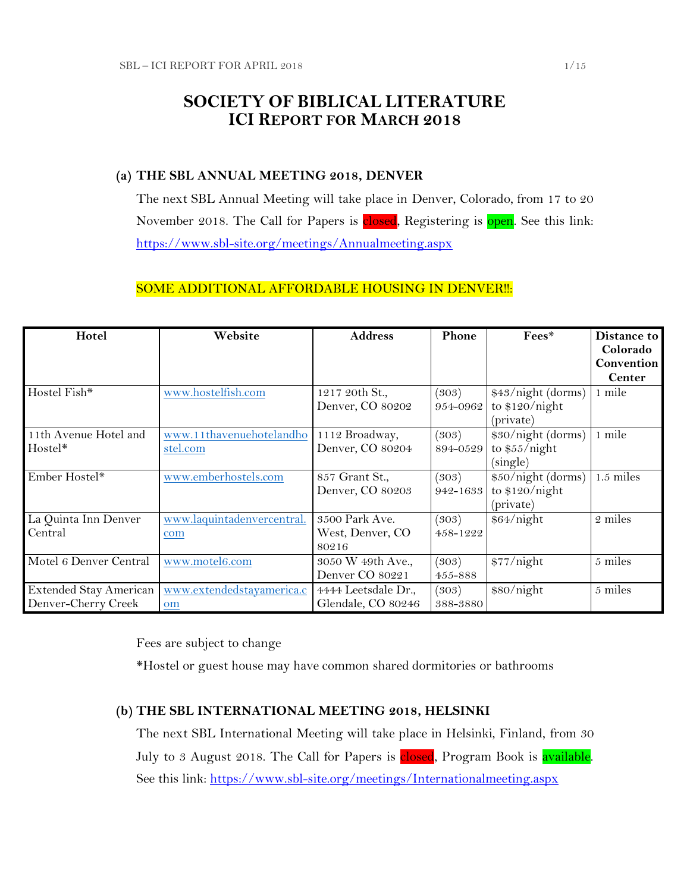# **SOCIETY OF BIBLICAL LITERATURE ICI REPORT FOR MARCH 2018**

## **(a) THE SBL ANNUAL MEETING 2018, DENVER**

The next SBL Annual Meeting will take place in Denver, Colorado, from 17 to 20 November 2018. The Call for Papers is closed, Registering is open. See this link: <https://www.sbl-site.org/meetings/Annualmeeting.aspx>

## SOME ADDITIONAL AFFORDABLE HOUSING IN DENVER!!:

| Hotel                  | Website                    | <b>Address</b>      | Phone    | Fees*              | Distance to   |
|------------------------|----------------------------|---------------------|----------|--------------------|---------------|
|                        |                            |                     |          |                    | Colorado      |
|                        |                            |                     |          |                    | Convention    |
|                        |                            |                     |          |                    | <b>Center</b> |
| Hostel Fish*           | www.hostelfish.com         | 1217 20th St.,      | (303)    | \$43/night (dorms) | 1 mile        |
|                        |                            | Denver, CO 80202    | 954-0962 | to $$120/night$    |               |
|                        |                            |                     |          | (private)          |               |
| 11th Avenue Hotel and  | www.11thavenuehotelandho   | 1112 Broadway,      | (303)    | \$30/night (dorms) | 1 mile        |
| Hostel*                | stel.com                   | Denver, CO 80204    | 894-0529 | to \$55/night      |               |
|                        |                            |                     |          | (single)           |               |
| Ember Hostel*          | www.emberhostels.com       | 857 Grant St.,      | (303)    | \$50/night (dorms) | 1.5 miles     |
|                        |                            | Denver, CO 80203    | 942-1633 | to $$120/night$    |               |
|                        |                            |                     |          | (private)          |               |
| La Quinta Inn Denver   | www.laquintadenvercentral. | 3500 Park Ave.      | (303)    | \$64/night         | 2 miles       |
| Central                | com                        | West, Denver, CO    | 458-1222 |                    |               |
|                        |                            | 80216               |          |                    |               |
| Motel 6 Denver Central | www.motel6.com             | 3050 W 49th Ave.,   | (303)    | \$77/night         | 5 miles       |
|                        |                            | Denver CO 80221     | 455-888  |                    |               |
| Extended Stay American | www.extendedstayamerica.c  | 4444 Leetsdale Dr., | (303)    | \$80/night         | 5 miles       |
| Denver-Cherry Creek    | om                         | Glendale, CO 80246  | 388-3880 |                    |               |

Fees are subject to change

\*Hostel or guest house may have common shared dormitories or bathrooms

## **(b) THE SBL INTERNATIONAL MEETING 2018, HELSINKI**

The next SBL International Meeting will take place in Helsinki, Finland, from 30 July to 3 August 2018. The Call for Papers is closed, Program Book is available. See this link:<https://www.sbl-site.org/meetings/Internationalmeeting.aspx>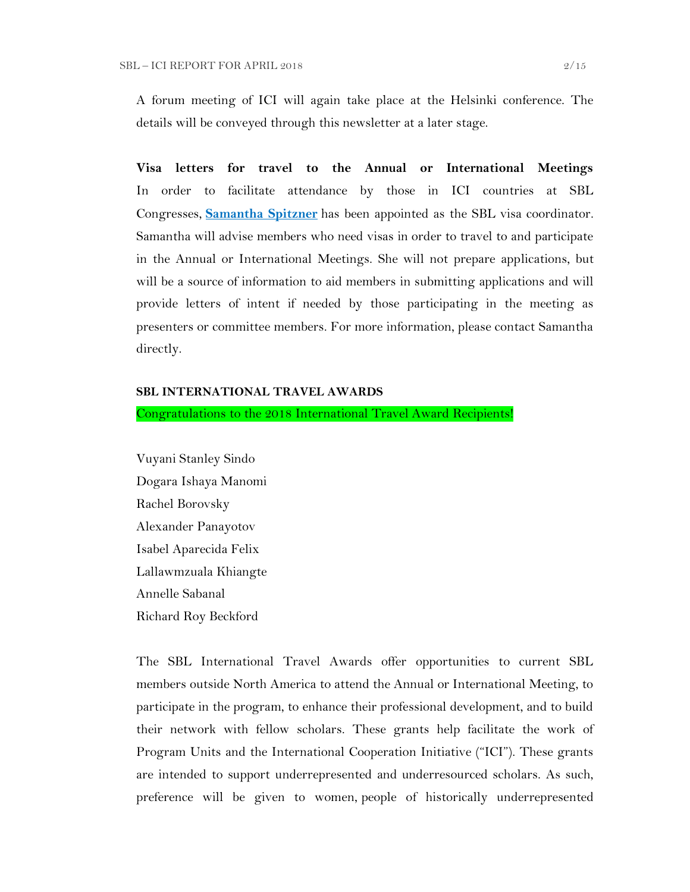A forum meeting of ICI will again take place at the Helsinki conference. The details will be conveyed through this newsletter at a later stage.

**Visa letters for travel to the Annual or International Meetings** In order to facilitate attendance by those in ICI countries at SBL Congresses, **[Samantha Spitzner](mailto:samantha.spitzner@sbl-site.org)** has been appointed as the SBL visa coordinator. Samantha will advise members who need visas in order to travel to and participate in the Annual or International Meetings. She will not prepare applications, but will be a source of information to aid members in submitting applications and will provide letters of intent if needed by those participating in the meeting as presenters or committee members. For more information, please contact Samantha directly.

### **SBL INTERNATIONAL TRAVEL AWARDS**

Congratulations to the 2018 International Travel Award Recipients!

Vuyani Stanley Sindo Dogara Ishaya Manomi Rachel Borovsky Alexander Panayotov Isabel Aparecida Felix Lallawmzuala Khiangte Annelle Sabanal Richard Roy Beckford

The SBL International Travel Awards offer opportunities to current SBL members outside North America to attend the Annual or International Meeting, to participate in the program, to enhance their professional development, and to build their network with fellow scholars. These grants help facilitate the work of Program Units and the International Cooperation Initiative ("ICI"). These grants are intended to support underrepresented and underresourced scholars. As such, preference will be given to women, people of historically underrepresented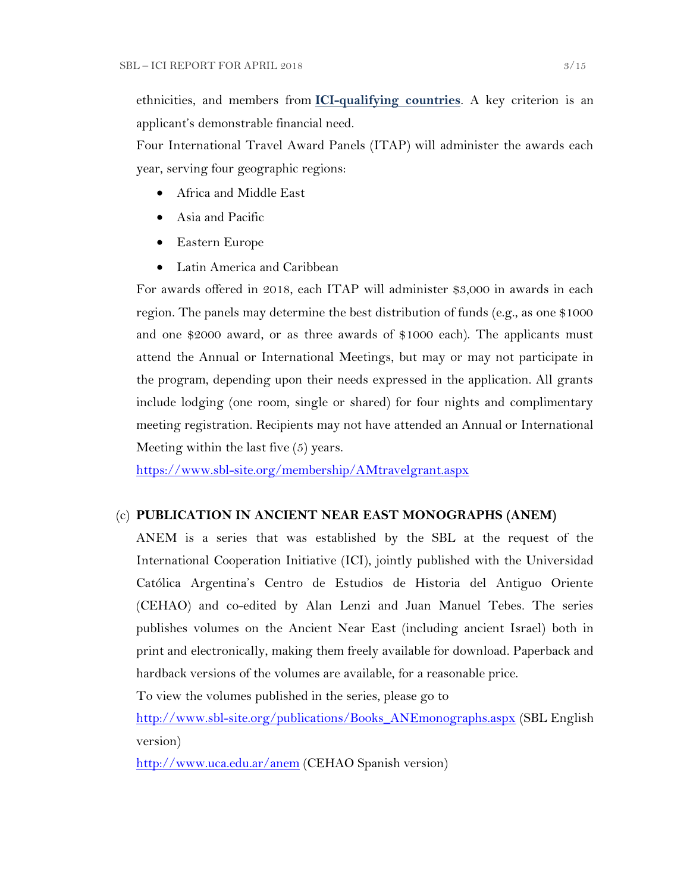ethnicities, and members from **[ICI-qualifying countries](https://www.sbl-site.org/assets/pdfs/ICIcountries.pdf)**. A key criterion is an applicant's demonstrable financial need.

Four International Travel Award Panels (ITAP) will administer the awards each year, serving four geographic regions:

- Africa and Middle East
- Asia and Pacific
- Eastern Europe
- Latin America and Caribbean

For awards offered in 2018, each ITAP will administer \$3,000 in awards in each region. The panels may determine the best distribution of funds (e.g., as one \$1000 and one \$2000 award, or as three awards of \$1000 each). The applicants must attend the Annual or International Meetings, but may or may not participate in the program, depending upon their needs expressed in the application. All grants include lodging (one room, single or shared) for four nights and complimentary meeting registration. Recipients may not have attended an Annual or International Meeting within the last five (5) years.

<https://www.sbl-site.org/membership/AMtravelgrant.aspx>

#### (c) **PUBLICATION IN [ANCIENT NEAR EAST MONOGRAPHS](http://www.sbl-site.org/publications/Books_ANEmonographs.aspx) (ANEM)**

ANEM is a series that was established by the SBL at the request of the International Cooperation Initiative (ICI), jointly published with the Universidad Católica Argentina's Centro de Estudios de Historia del Antiguo Oriente (CEHAO) and co-edited by Alan Lenzi and Juan Manuel Tebes. The series publishes volumes on the Ancient Near East (including ancient Israel) both in print and electronically, making them freely available for download. Paperback and hardback versions of the volumes are available, for a reasonable price.

To view the volumes published in the series, please go to

[http://www.sbl-site.org/publications/Books\\_ANEmonographs.aspx](http://www.sbl-site.org/publications/Books_ANEmonographs.aspx) (SBL English version)

<http://www.uca.edu.ar/anem> (CEHAO Spanish version)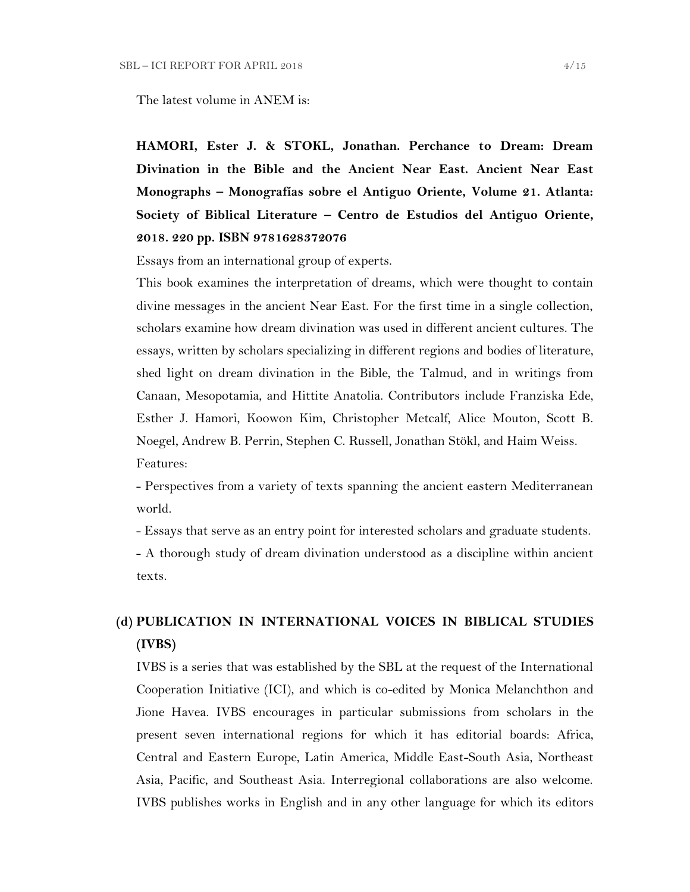The latest volume in ANEM is:

**HAMORI, Ester J. & STOKL, Jonathan. Perchance to Dream: Dream Divination in the Bible and the Ancient Near East. Ancient Near East Monographs – Monografías sobre el Antiguo Oriente, Volume 21. Atlanta: Society of Biblical Literature – Centro de Estudios del Antiguo Oriente, 2018. 220 pp. ISBN 9781628372076**

Essays from an international group of experts.

This book examines the interpretation of dreams, which were thought to contain divine messages in the ancient Near East. For the first time in a single collection, scholars examine how dream divination was used in different ancient cultures. The essays, written by scholars specializing in different regions and bodies of literature, shed light on dream divination in the Bible, the Talmud, and in writings from Canaan, Mesopotamia, and Hittite Anatolia. Contributors include Franziska Ede, Esther J. Hamori, Koowon Kim, Christopher Metcalf, Alice Mouton, Scott B. Noegel, Andrew B. Perrin, Stephen C. Russell, Jonathan Stökl, and Haim Weiss. Features:

- Perspectives from a variety of texts spanning the ancient eastern Mediterranean world.

- Essays that serve as an entry point for interested scholars and graduate students.

- A thorough study of dream divination understood as a discipline within ancient texts.

# **(d) PUBLICATION IN INTERNATIONAL VOICES IN BIBLICAL STUDIES (IVBS)**

IVBS is a series that was established by the SBL at the request of the International Cooperation Initiative (ICI), and which is co-edited by Monica Melanchthon and Jione Havea. IVBS encourages in particular submissions from scholars in the present seven international regions for which it has editorial boards: Africa, Central and Eastern Europe, Latin America, Middle East-South Asia, Northeast Asia, Pacific, and Southeast Asia. Interregional collaborations are also welcome. IVBS publishes works in English and in any other language for which its editors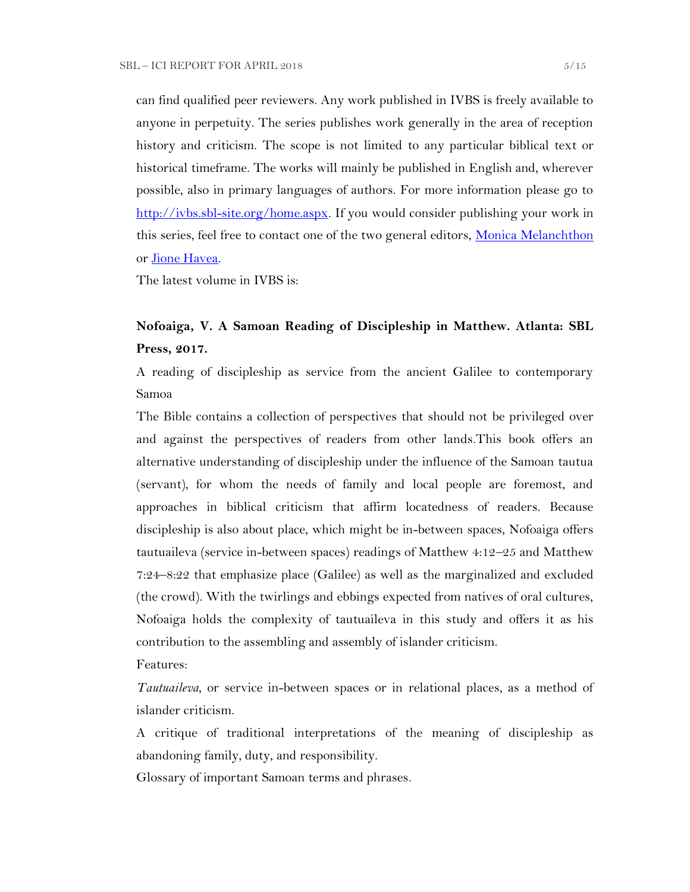can find qualified peer reviewers. Any work published in IVBS is freely available to anyone in perpetuity. The series publishes work generally in the area of reception history and criticism. The scope is not limited to any particular biblical text or historical timeframe. The works will mainly be published in English and, wherever possible, also in primary languages of authors. For more information please go to [http://ivbs.sbl-site.org/home.aspx.](http://ivbs.sbl-site.org/home.aspx) If you would consider publishing your work in this series, feel free to contact one of the two general editors, [Monica Melanchthon](mailto:ivbs2010@gmail.com) or [Jione Havea.](mailto:jioneh@nsw.uca.org.au)

The latest volume in IVBS is:

## **Nofoaiga, V. A Samoan Reading of Discipleship in Matthew. Atlanta: SBL Press, 2017.**

A reading of discipleship as service from the ancient Galilee to contemporary Samoa

The Bible contains a collection of perspectives that should not be privileged over and against the perspectives of readers from other lands.This book offers an alternative understanding of discipleship under the influence of the Samoan tautua (servant), for whom the needs of family and local people are foremost, and approaches in biblical criticism that affirm locatedness of readers. Because discipleship is also about place, which might be in-between spaces, Nofoaiga offers tautuaileva (service in-between spaces) readings of Matthew 4:12–25 and Matthew 7:24–8:22 that emphasize place (Galilee) as well as the marginalized and excluded (the crowd). With the twirlings and ebbings expected from natives of oral cultures, Nofoaiga holds the complexity of tautuaileva in this study and offers it as his contribution to the assembling and assembly of islander criticism.

Features:

*Tautuaileva*, or service in-between spaces or in relational places, as a method of islander criticism.

A critique of traditional interpretations of the meaning of discipleship as abandoning family, duty, and responsibility.

Glossary of important Samoan terms and phrases.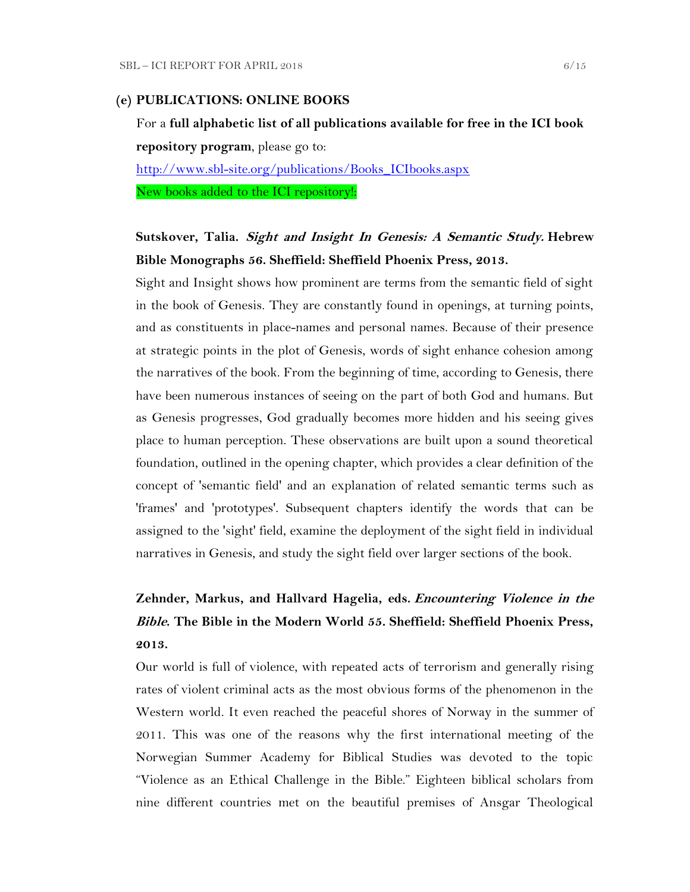#### **(e) PUBLICATIONS: ONLINE BOOKS**

For a **full alphabetic list of all publications available for free in the ICI book repository program**, please go to: [http://www.sbl-site.org/publications/Books\\_ICIbooks.aspx](http://www.sbl-site.org/publications/Books_ICIbooks.aspx) New books added to the ICI repository!:

## **Sutskover, Talia. Sight and Insight In Genesis: A Semantic Study. Hebrew Bible Monographs 56. Sheffield: Sheffield Phoenix Press, 2013.**

Sight and Insight shows how prominent are terms from the semantic field of sight in the book of Genesis. They are constantly found in openings, at turning points, and as constituents in place-names and personal names. Because of their presence at strategic points in the plot of Genesis, words of sight enhance cohesion among the narratives of the book. From the beginning of time, according to Genesis, there have been numerous instances of seeing on the part of both God and humans. But as Genesis progresses, God gradually becomes more hidden and his seeing gives place to human perception. These observations are built upon a sound theoretical foundation, outlined in the opening chapter, which provides a clear definition of the concept of 'semantic field' and an explanation of related semantic terms such as 'frames' and 'prototypes'. Subsequent chapters identify the words that can be assigned to the 'sight' field, examine the deployment of the sight field in individual narratives in Genesis, and study the sight field over larger sections of the book.

# **Zehnder, Markus, and Hallvard Hagelia, eds. Encountering Violence in the Bible. The Bible in the Modern World 55. Sheffield: Sheffield Phoenix Press, 2013.**

Our world is full of violence, with repeated acts of terrorism and generally rising rates of violent criminal acts as the most obvious forms of the phenomenon in the Western world. It even reached the peaceful shores of Norway in the summer of 2011. This was one of the reasons why the first international meeting of the Norwegian Summer Academy for Biblical Studies was devoted to the topic "Violence as an Ethical Challenge in the Bible." Eighteen biblical scholars from nine different countries met on the beautiful premises of Ansgar Theological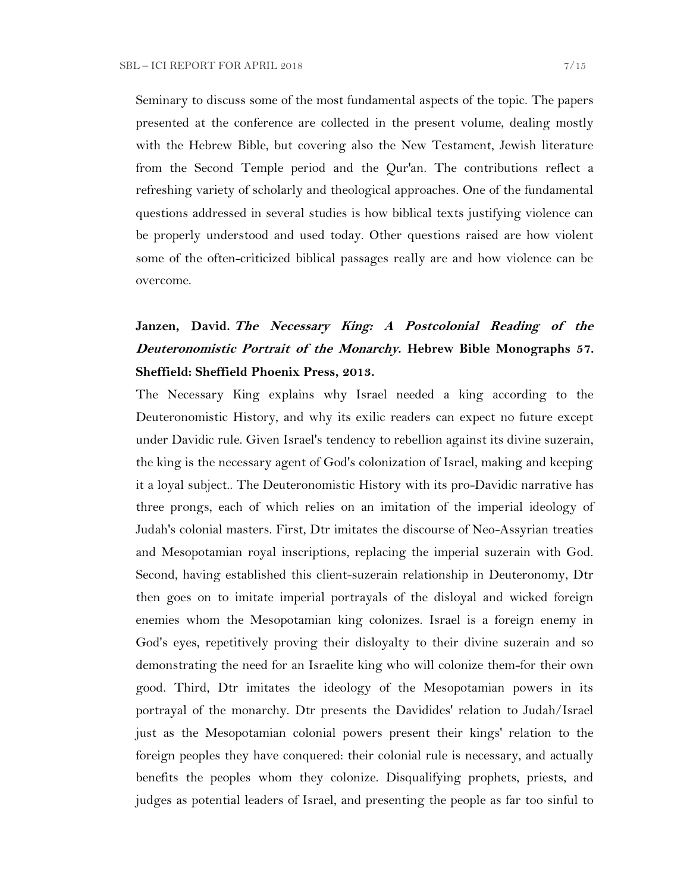Seminary to discuss some of the most fundamental aspects of the topic. The papers presented at the conference are collected in the present volume, dealing mostly with the Hebrew Bible, but covering also the New Testament, Jewish literature from the Second Temple period and the Qur'an. The contributions reflect a refreshing variety of scholarly and theological approaches. One of the fundamental questions addressed in several studies is how biblical texts justifying violence can be properly understood and used today. Other questions raised are how violent some of the often-criticized biblical passages really are and how violence can be overcome.

# **Janzen, David. The Necessary King: A Postcolonial Reading of the Deuteronomistic Portrait of the Monarchy. Hebrew Bible Monographs 57. Sheffield: Sheffield Phoenix Press, 2013.**

The Necessary King explains why Israel needed a king according to the Deuteronomistic History, and why its exilic readers can expect no future except under Davidic rule. Given Israel's tendency to rebellion against its divine suzerain, the king is the necessary agent of God's colonization of Israel, making and keeping it a loyal subject.. The Deuteronomistic History with its pro-Davidic narrative has three prongs, each of which relies on an imitation of the imperial ideology of Judah's colonial masters. First, Dtr imitates the discourse of Neo-Assyrian treaties and Mesopotamian royal inscriptions, replacing the imperial suzerain with God. Second, having established this client-suzerain relationship in Deuteronomy, Dtr then goes on to imitate imperial portrayals of the disloyal and wicked foreign enemies whom the Mesopotamian king colonizes. Israel is a foreign enemy in God's eyes, repetitively proving their disloyalty to their divine suzerain and so demonstrating the need for an Israelite king who will colonize them-for their own good. Third, Dtr imitates the ideology of the Mesopotamian powers in its portrayal of the monarchy. Dtr presents the Davidides' relation to Judah/Israel just as the Mesopotamian colonial powers present their kings' relation to the foreign peoples they have conquered: their colonial rule is necessary, and actually benefits the peoples whom they colonize. Disqualifying prophets, priests, and judges as potential leaders of Israel, and presenting the people as far too sinful to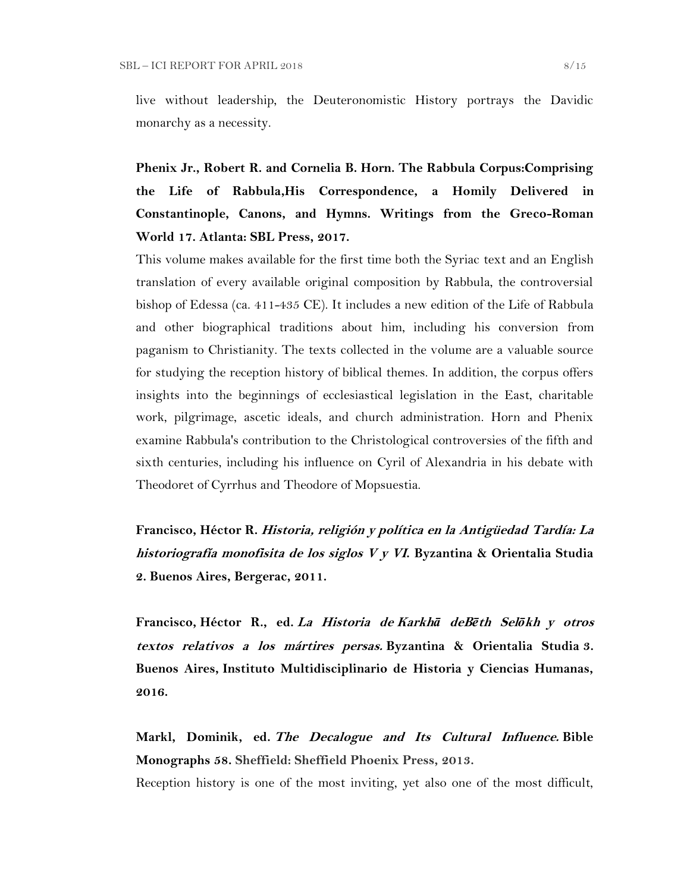live without leadership, the Deuteronomistic History portrays the Davidic monarchy as a necessity.

**Phenix Jr., Robert R. and Cornelia B. Horn. The Rabbula Corpus:Comprising the Life of Rabbula,His Correspondence, a Homily Delivered in Constantinople, Canons, and Hymns. Writings from the Greco-Roman World 17. Atlanta: SBL Press, 2017.**

This volume makes available for the first time both the Syriac text and an English translation of every available original composition by Rabbula, the controversial bishop of Edessa (ca. 411-435 CE). It includes a new edition of the Life of Rabbula and other biographical traditions about him, including his conversion from paganism to Christianity. The texts collected in the volume are a valuable source for studying the reception history of biblical themes. In addition, the corpus offers insights into the beginnings of ecclesiastical legislation in the East, charitable work, pilgrimage, ascetic ideals, and church administration. Horn and Phenix examine Rabbula's contribution to the Christological controversies of the fifth and sixth centuries, including his influence on Cyril of Alexandria in his debate with Theodoret of Cyrrhus and Theodore of Mopsuestia.

**Francisco, Héctor R. Historia, religión y política en la Antigüedad Tardía: La historiografía monofisita de los siglos V y VI. Byzantina & Orientalia Studia 2. Buenos Aires, Bergerac, 2011.**

**Francisco, Héctor R., ed. La Historia de Karkh***ā* **deB***ē***th Sel***ō***kh y otros textos relativos a los mártires persas. Byzantina & Orientalia Studia 3. Buenos Aires, Instituto Multidisciplinario de Historia y Ciencias Humanas, 2016.**

**Markl, Dominik, ed. The Decalogue and Its Cultural Influence. Bible Monographs 58. Sheffield: Sheffield Phoenix Press, 2013.**

Reception history is one of the most inviting, yet also one of the most difficult,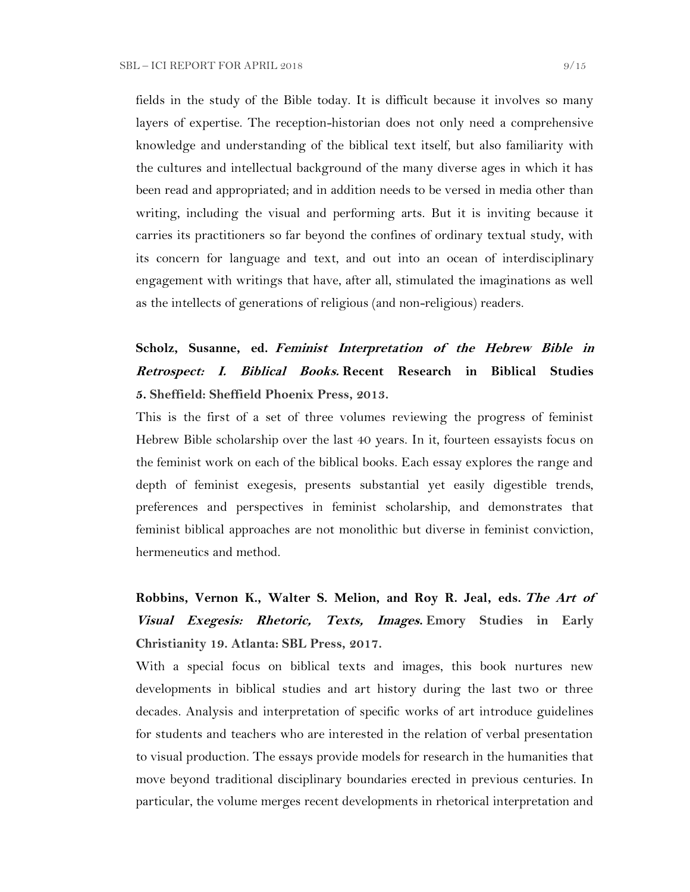fields in the study of the Bible today. It is difficult because it involves so many layers of expertise. The reception-historian does not only need a comprehensive knowledge and understanding of the biblical text itself, but also familiarity with the cultures and intellectual background of the many diverse ages in which it has been read and appropriated; and in addition needs to be versed in media other than writing, including the visual and performing arts. But it is inviting because it carries its practitioners so far beyond the confines of ordinary textual study, with its concern for language and text, and out into an ocean of interdisciplinary engagement with writings that have, after all, stimulated the imaginations as well as the intellects of generations of religious (and non-religious) readers.

# **Scholz, Susanne, ed. Feminist Interpretation of the Hebrew Bible in Retrospect: I. Biblical Books. Recent Research in Biblical Studies 5. Sheffield: Sheffield Phoenix Press, 2013.**

This is the first of a set of three volumes reviewing the progress of feminist Hebrew Bible scholarship over the last 40 years. In it, fourteen essayists focus on the feminist work on each of the biblical books. Each essay explores the range and depth of feminist exegesis, presents substantial yet easily digestible trends, preferences and perspectives in feminist scholarship, and demonstrates that feminist biblical approaches are not monolithic but diverse in feminist conviction, hermeneutics and method.

# **Robbins, Vernon K., Walter S. Melion, and Roy R. Jeal, eds. The Art of Visual Exegesis: Rhetoric, Texts, Images. Emory Studies in Early Christianity 19. Atlanta: SBL Press, 2017.**

With a special focus on biblical texts and images, this book nurtures new developments in biblical studies and art history during the last two or three decades. Analysis and interpretation of specific works of art introduce guidelines for students and teachers who are interested in the relation of verbal presentation to visual production. The essays provide models for research in the humanities that move beyond traditional disciplinary boundaries erected in previous centuries. In particular, the volume merges recent developments in rhetorical interpretation and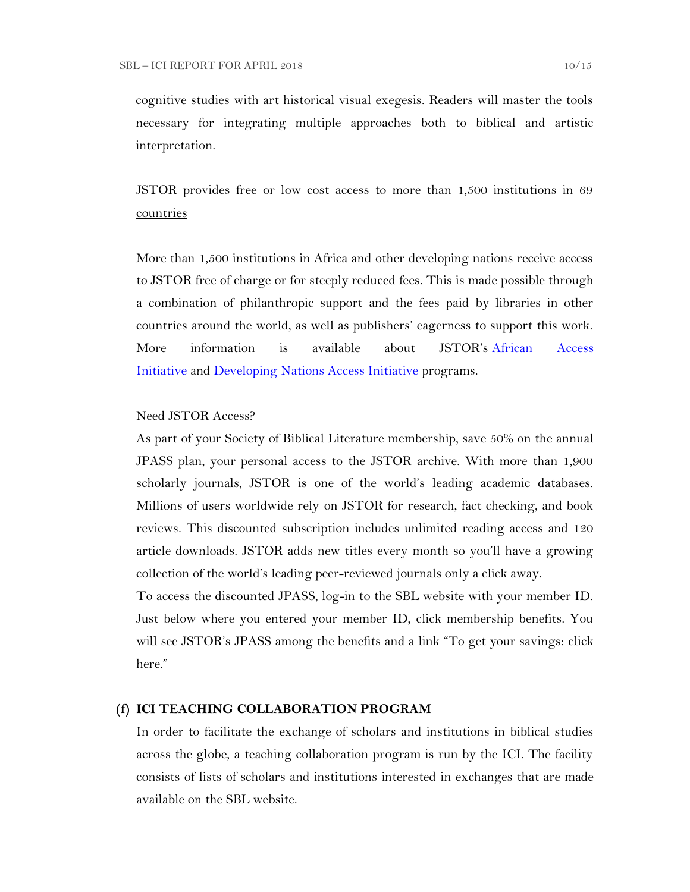cognitive studies with art historical visual exegesis. Readers will master the tools necessary for integrating multiple approaches both to biblical and artistic interpretation.

# JSTOR provides free or low cost access to more than 1,500 institutions in 69 countries

More than 1,500 institutions in Africa and other developing nations receive access to JSTOR free of charge or for steeply reduced fees. This is made possible through a combination of philanthropic support and the fees paid by libraries in other countries around the world, as well as publishers' eagerness to support this work. More information is available about JSTOR's [African Access](http://about.jstor.org/libraries/african-access-initiative)  [Initiative](http://about.jstor.org/libraries/african-access-initiative) and [Developing Nations Access Initiative](http://about.jstor.org/libraries/developing-nations-access-initiative) programs.

## Need JSTOR Access?

As part of your Society of Biblical Literature membership, save 50% on the annual JPASS plan, your personal access to the JSTOR archive. With more than 1,900 scholarly journals, JSTOR is one of the world's leading academic databases. Millions of users worldwide rely on JSTOR for research, fact checking, and book reviews. This discounted subscription includes unlimited reading access and 120 article downloads. JSTOR adds new titles every month so you'll have a growing collection of the world's leading peer-reviewed journals only a click away.

To access the discounted JPASS, log-in to the SBL website with your member ID. Just below where you entered your member ID, click membership benefits. You will see JSTOR's JPASS among the benefits and a link "To get your savings: click here."

### **(f) ICI TEACHING COLLABORATION PROGRAM**

In order to facilitate the exchange of scholars and institutions in biblical studies across the globe, a teaching collaboration program is run by the ICI. The facility consists of lists of scholars and institutions interested in exchanges that are made available on the SBL website.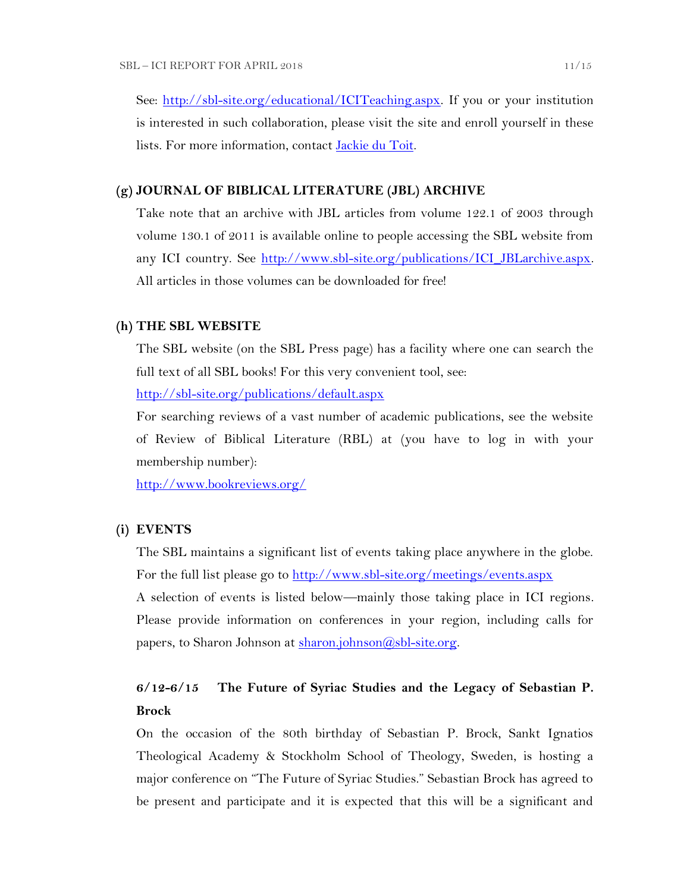See: [http://sbl-site.org/educational/ICITeaching.aspx.](http://sbl-site.org/educational/ICITeaching.aspx) If you or your institution is interested in such collaboration, please visit the site and enroll yourself in these lists. For more information, contact [Jackie du Toit.](mailto:dutoitjs@ufs.ac.za)

#### **(g) JOURNAL OF BIBLICAL LITERATURE (JBL) ARCHIVE**

Take note that an archive with JBL articles from volume 122.1 of 2003 through volume 130.1 of 2011 is available online to people accessing the SBL website from any ICI country. See http://www.sbl-site.org/publications/ICI\_JBLarchive.aspx. All articles in those volumes can be downloaded for free!

#### **(h) THE SBL WEBSITE**

The SBL website (on the SBL Press page) has a facility where one can search the full text of all SBL books! For this very convenient tool, see:

<http://sbl-site.org/publications/default.aspx>

For searching reviews of a vast number of academic publications, see the website of Review of Biblical Literature (RBL) at (you have to log in with your membership number):

<http://www.bookreviews.org/>

### **(i) EVENTS**

The SBL maintains a significant list of events taking place anywhere in the globe. For the full list please go to<http://www.sbl-site.org/meetings/events.aspx> A selection of events is listed below—mainly those taking place in ICI regions. Please provide information on conferences in your region, including calls for papers, to Sharon Johnson at [sharon.johnson@sbl-site.org.](mailto:sharon.johnson@sbl-site.org)

# **6/12-6/15 The Future of Syriac Studies and the Legacy of Sebastian P. Brock**

On the occasion of the 80th birthday of Sebastian P. Brock, Sankt Ignatios Theological Academy & Stockholm School of Theology, Sweden, is hosting a major conference on "The Future of Syriac Studies." Sebastian Brock has agreed to be present and participate and it is expected that this will be a significant and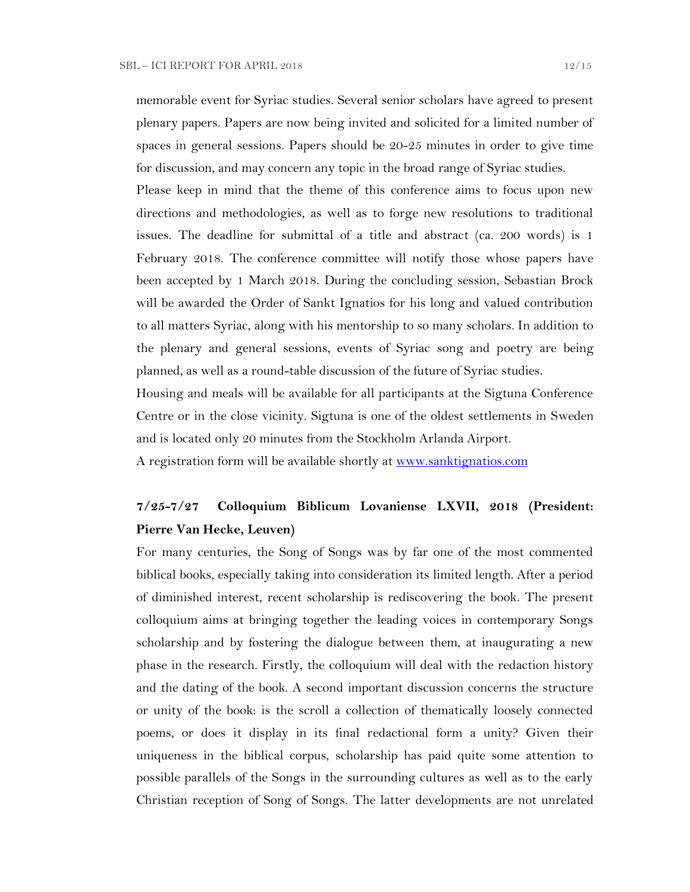memorable event for Syriac studies. Several senior scholars have agreed to present plenary papers. Papers are now being invited and solicited for a limited number of spaces in general sessions. Papers should be 20-25 minutes in order to give time for discussion, and may concern any topic in the broad range of Syriac studies.

Please keep in mind that the theme of this conference aims to focus upon new directions and methodologies, as well as to forge new resolutions to traditional issues. The deadline for submittal of a title and abstract (ca. 200 words) is 1 February 2018. The conference committee will notify those whose papers have been accepted by 1 March 2018. During the concluding session, Sebastian Brock will be awarded the Order of Sankt Ignatios for his long and valued contribution to all matters Syriac, along with his mentorship to so many scholars. In addition to the plenary and general sessions, events of Syriac song and poetry are being planned, as well as a round-table discussion of the future of Syriac studies.

Housing and meals will be available for all participants at the Sigtuna Conference Centre or in the close vicinity. Sigtuna is one of the oldest settlements in Sweden and is located only 20 minutes from the Stockholm Arlanda Airport.

A registration form will be available shortly at [www.sanktignatios.com](../Ediciones%20UCA/ICI/Ediciones%20UCA/ICI/ICI%20Newsletter%20Tebes/www.sanktignatios.com)

# **7/25-7/27 Colloquium Biblicum Lovaniense LXVII, 2018 (President: Pierre Van Hecke, Leuven)**

For many centuries, the Song of Songs was by far one of the most commented biblical books, especially taking into consideration its limited length. After a period of diminished interest, recent scholarship is rediscovering the book. The present colloquium aims at bringing together the leading voices in contemporary Songs scholarship and by fostering the dialogue between them, at inaugurating a new phase in the research. Firstly, the colloquium will deal with the redaction history and the dating of the book. A second important discussion concerns the structure or unity of the book: is the scroll a collection of thematically loosely connected poems, or does it display in its final redactional form a unity? Given their uniqueness in the biblical corpus, scholarship has paid quite some attention to possible parallels of the Songs in the surrounding cultures as well as to the early Christian reception of Song of Songs. The latter developments are not unrelated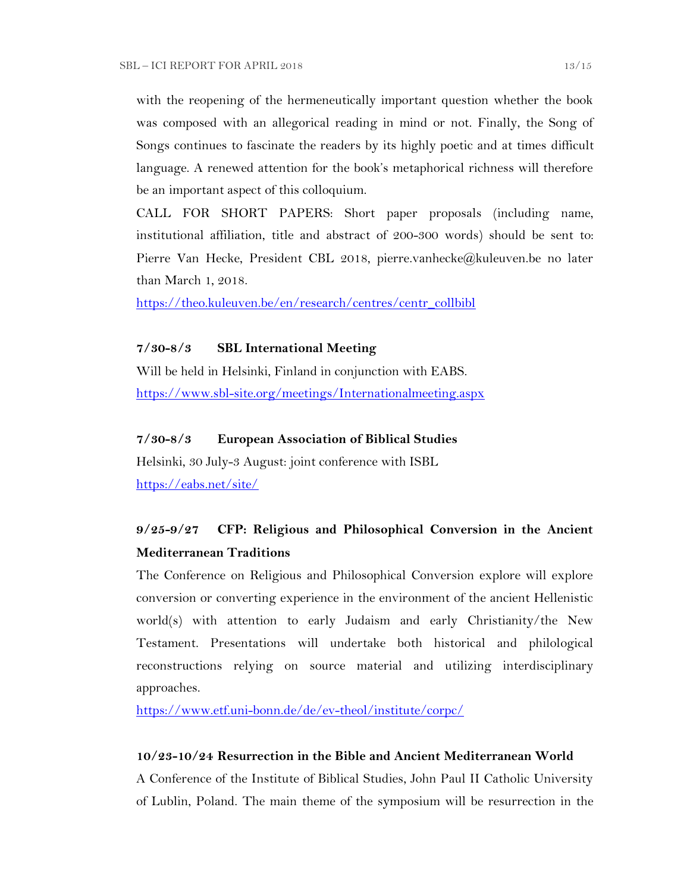with the reopening of the hermeneutically important question whether the book was composed with an allegorical reading in mind or not. Finally, the Song of Songs continues to fascinate the readers by its highly poetic and at times difficult language. A renewed attention for the book's metaphorical richness will therefore be an important aspect of this colloquium.

CALL FOR SHORT PAPERS: Short paper proposals (including name, institutional affiliation, title and abstract of 200-300 words) should be sent to: Pierre Van Hecke, President CBL 2018, pierre.vanhecke@kuleuven.be no later than March 1, 2018.

[https://theo.kuleuven.be/en/research/centres/centr\\_collbibl](https://theo.kuleuven.be/en/research/centres/centr_collbibl)

#### **7/30-8/3 SBL International Meeting**

Will be held in Helsinki, Finland in conjunction with EABS. <https://www.sbl-site.org/meetings/Internationalmeeting.aspx>

## **7/30-8/3 European Association of Biblical Studies**

Helsinki, 30 July-3 August: joint conference with ISBL <https://eabs.net/site/>

# **9/25-9/27 CFP: Religious and Philosophical Conversion in the Ancient Mediterranean Traditions**

The Conference on Religious and Philosophical Conversion explore will explore conversion or converting experience in the environment of the ancient Hellenistic world(s) with attention to early Judaism and early Christianity/the New Testament. Presentations will undertake both historical and philological reconstructions relying on source material and utilizing interdisciplinary approaches.

<https://www.etf.uni-bonn.de/de/ev-theol/institute/corpc/>

## **10/23-10/24 Resurrection in the Bible and Ancient Mediterranean World**

A Conference of the Institute of Biblical Studies, John Paul II Catholic University of Lublin, Poland. The main theme of the symposium will be resurrection in the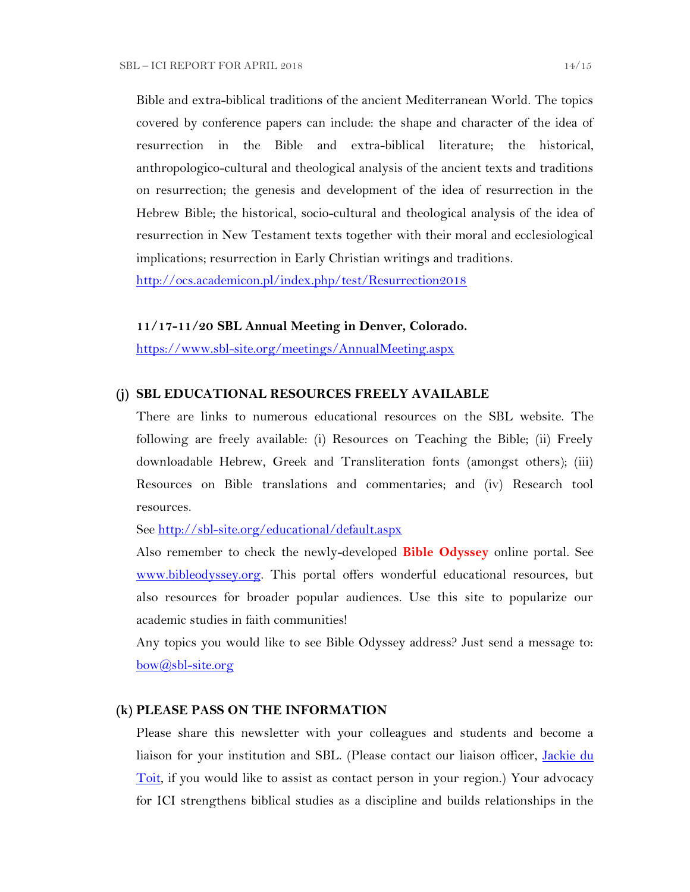Bible and extra-biblical traditions of the ancient Mediterranean World. The topics covered by conference papers can include: the shape and character of the idea of resurrection in the Bible and extra-biblical literature; the historical, anthropologico-cultural and theological analysis of the ancient texts and traditions on resurrection; the genesis and development of the idea of resurrection in the Hebrew Bible; the historical, socio-cultural and theological analysis of the idea of resurrection in New Testament texts together with their moral and ecclesiological implications; resurrection in Early Christian writings and traditions.

<http://ocs.academicon.pl/index.php/test/Resurrection2018>

#### **11/17-11/20 SBL Annual Meeting in Denver, Colorado.**

<https://www.sbl-site.org/meetings/AnnualMeeting.aspx>

### **(j) SBL EDUCATIONAL RESOURCES FREELY AVAILABLE**

There are links to numerous educational resources on the SBL website. The following are freely available: (i) Resources on Teaching the Bible; (ii) Freely downloadable Hebrew, Greek and Transliteration fonts (amongst others); (iii) Resources on Bible translations and commentaries; and (iv) Research tool resources.

See<http://sbl-site.org/educational/default.aspx>

Also remember to check the newly-developed **Bible Odyssey** online portal. See [www.bibleodyssey.org.](http://www.bibleodyssey.org/) This portal offers wonderful educational resources, but also resources for broader popular audiences. Use this site to popularize our academic studies in faith communities!

Any topics you would like to see Bible Odyssey address? Just send a message to: [bow@sbl-site.org](mailto:bow@sbl-site.org)

#### **(k) PLEASE PASS ON THE INFORMATION**

Please share this newsletter with your colleagues and students and become a liaison for your institution and SBL. (Please contact our liaison officer, Jackie du [Toit,](mailto:dutoitjs@ufs.ac.za) if you would like to assist as contact person in your region.) Your advocacy for ICI strengthens biblical studies as a discipline and builds relationships in the